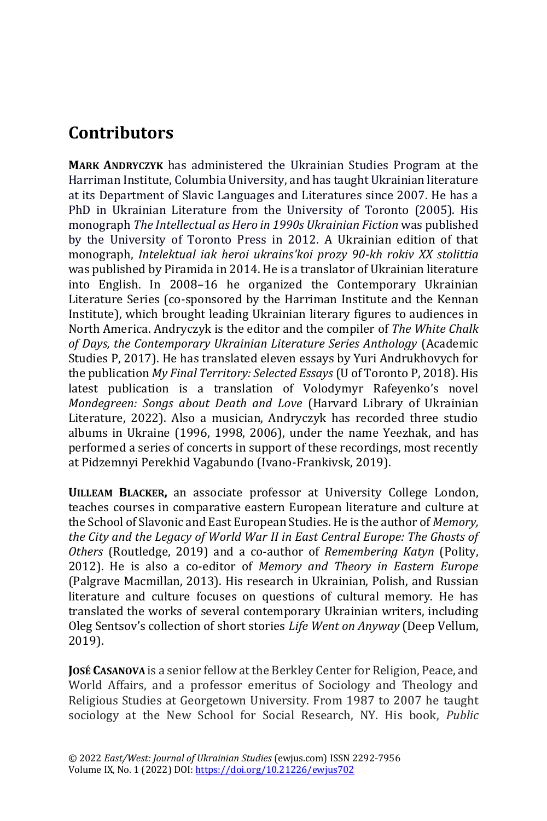## **Contributors**

**MARK ANDRYCZYK** has administered the Ukrainian Studies Program at the Harriman Institute, Columbia University, and has taught Ukrainian literature at its Department of Slavic Languages and Literatures since 2007. He has a PhD in Ukrainian Literature from the University of Toronto (2005). His monograph *The Intellectual as Hero in 1990s Ukrainian Fiction* was published by the University of Toronto Press in 2012. A Ukrainian edition of that monograph, *Intelektual iak heroi ukrains'koi prozy 90-kh rokiv XX stolittia* was published by Piramida in 2014. He is a translator of Ukrainian literature into English. In 2008–16 he organized the Contemporary Ukrainian Literature Series (co-sponsored by the Harriman Institute and the Kennan Institute), which brought leading Ukrainian literary figures to audiences in North America. Andryczyk is the editor and the compiler of *The White Chalk of Days, the Contemporary Ukrainian Literature Series Anthology* (Academic Studies P, 2017). He has translated eleven essays by Yuri Andrukhovych for the publication *My Final Territory: Selected Essays* (U of Toronto P, 2018). His latest publication is a translation of Volodymyr Rafeyenko's novel *Mondegreen: Songs about Death and Love* (Harvard Library of Ukrainian Literature, 2022). Also a musician, Andryczyk has recorded three studio albums in Ukraine (1996, 1998, 2006), under the name Yeezhak, and has performed a series of concerts in support of these recordings, most recently at Pidzemnyi Perekhid Vagabundo (Ivano-Frankivsk, 2019).

**UILLEAM BLACKER,** an associate professor at University College London, teaches courses in comparative eastern European literature and culture at the School of Slavonic and East European Studies. He is the author of *Memory, the City and the Legacy of World War II in East Central Europe: The Ghosts of Others* (Routledge, 2019) and a co-author of *Remembering Katyn* (Polity, 2012). He is also a co-editor of *Memory and Theory in Eastern Europe*  (Palgrave Macmillan, 2013). His research in Ukrainian, Polish, and Russian literature and culture focuses on questions of cultural memory. He has translated the works of several contemporary Ukrainian writers, including Oleg Sentsov's collection of short stories *Life Went on Anyway* (Deep Vellum, 2019).

**JOSÉ CASANOVA** is a senior fellow at the Berkley Center for Religion, Peace, and World Affairs, and a professor emeritus of Sociology and Theology and Religious Studies at Georgetown University. From 1987 to 2007 he taught sociology at the New School for Social Research, NY. His book, *Public*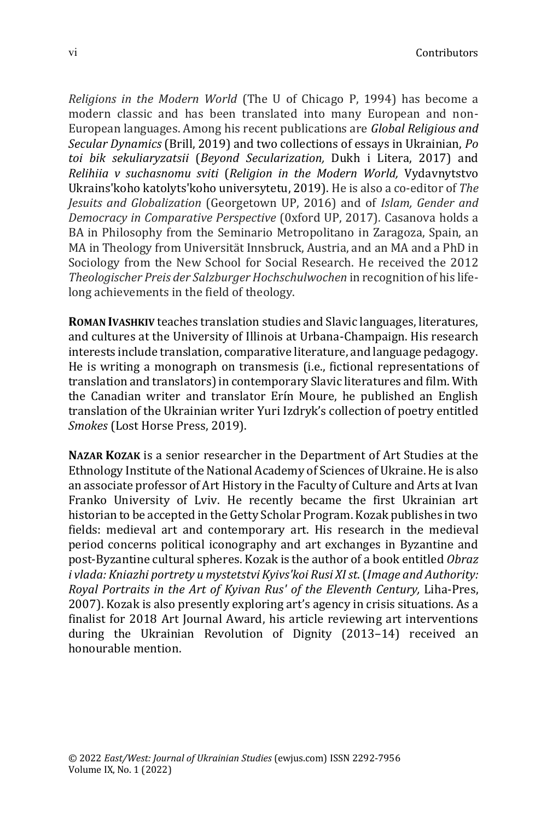Contributors

*Religions in the Modern World* (The U of Chicago P, 1994) has become a modern classic and has been translated into many European and non-European languages. Among his recent publications are *Global Religious and Secular Dynamics* (Brill, 2019) and two collections of essays in Ukrainian, *Po toi bik sekuliaryzatsii* (*Beyond Secularization,* Dukh i Litera, 2017) and *Relihiia v suchasnomu sviti* (*Religion in the Modern World,* Vydavnytstvo Ukrains'koho katolyts'koho universytetu, 2019). He is also a co-editor of *The Jesuits and Globalization* (Georgetown UP, 2016) and of *Islam, Gender and Democracy in Comparative Perspective* (0xford UP, 2017)*.* Casanova holds a BA in Philosophy from the Seminario Metropolitano in Zaragoza, Spain, an MA in Theology from Universität Innsbruck, Austria, and an MA and a PhD in Sociology from the New School for Social Research. He received the 2012 *Theologischer Preis der Salzburger Hochschulwochen* in recognition of his lifelong achievements in the field of theology.

**ROMAN IVASHKIV** teaches translation studies and Slavic languages, literatures, and cultures at the University of Illinois at Urbana-Champaign. His research interests include translation, comparative literature, and language pedagogy. He is writing a monograph on transmesis (i.e., fictional representations of translation and translators) in contemporary Slavic literatures and film. With the Canadian writer and translator Erín Moure, he published an English translation of the Ukrainian writer Yuri Izdryk's collection of poetry entitled *Smokes* (Lost Horse Press, 2019).

**NAZAR KOZAK** is a senior researcher in the Department of Art Studies at the Ethnology Institute of the National Academy of Sciences of Ukraine. He is also an associate professor of Art History in the Faculty of Culture and Arts at Ivan Franko University of Lviv. He recently became the first Ukrainian art historian to be accepted in the Getty Scholar Program. Kozak publishes in two fields: medieval art and contemporary art. His research in the medieval period concerns political iconography and art exchanges in Byzantine and post-Byzantine cultural spheres. Kozak is the author of a book entitled *Obraz i vlada: Kniazhi portrety u mystetstvi Kyivs'koi Rusi XI st*.(*Image and Authority: Royal Portraits in the Art of Kyivan Rus' of the Eleventh Century,* Liha-Pres, 2007). Kozak is also presently exploring art's agency in crisis situations. As a finalist for 2018 Art Journal Award, his article reviewing art interventions during the Ukrainian Revolution of Dignity (2013–14) received an honourable mention.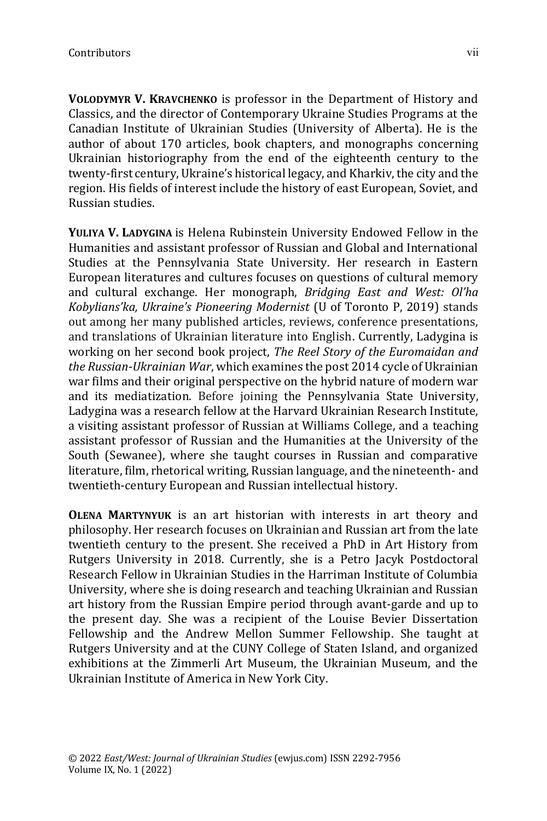**VOLODYMYR V. KRAVCHENKO** is professor in the Department of History and Classics, and the director of Contemporary Ukraine Studies Programs at the Canadian Institute of Ukrainian Studies (University of Alberta). He is the author of about 170 articles, book chapters, and monographs concerning Ukrainian historiography from the end of the eighteenth century to the twenty-first century, Ukraine's historical legacy, and Kharkiv, the city and the region. His fields of interest include the history of east European, Soviet, and Russian studies.

**YULIYA V. LADYGINA** is Helena Rubinstein University Endowed Fellow in the Humanities and assistant professor of Russian and Global and International Studies at the Pennsylvania State University. Her research in Eastern European literatures and cultures focuses on questions of cultural memory and cultural exchange. Her monograph, *Bridging East and West: Ol'ha Kobylians'ka, Ukraine's Pioneering Modernist* (U of Toronto P, 2019) stands out among her many published articles, reviews, conference presentations, and translations of Ukrainian literature into English. Currently, Ladygina is working on her second book project, *The Reel Story of the Euromaidan and the Russian-Ukrainian War*, which examines the post 2014 cycle of Ukrainian war films and their original perspective on the hybrid nature of modern war and its mediatization. Before joining the Pennsylvania State University, Ladygina was a research fellow at the Harvard Ukrainian Research Institute, a visiting assistant professor of Russian at Williams College, and a teaching assistant professor of Russian and the Humanities at the University of the South (Sewanee), where she taught courses in Russian and comparative literature, film, rhetorical writing, Russian language, and the nineteenth- and twentieth-century European and Russian intellectual history.

**OLENA MARTYNYUK** is an art historian with interests in art theory and philosophy. Her research focuses on Ukrainian and Russian art from the late twentieth century to the present. She received a PhD in Art History from Rutgers University in 2018. Currently, she is a Petro Jacyk Postdoctoral Research Fellow in Ukrainian Studies in the Harriman Institute of Columbia University, where she is doing research and teaching Ukrainian and Russian art history from the Russian Empire period through avant-garde and up to the present day. She was a recipient of the Louise Bevier Dissertation Fellowship and the Andrew Mellon Summer Fellowship. She taught at Rutgers University and at the CUNY College of Staten Island, and organized exhibitions at the Zimmerli Art Museum, the Ukrainian Museum, and the Ukrainian Institute of America in New York City.